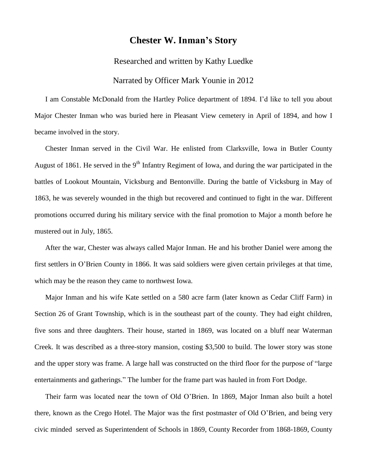## **Chester W. Inman's Story**

Researched and written by Kathy Luedke

## Narrated by Officer Mark Younie in 2012

I am Constable McDonald from the Hartley Police department of 1894. I'd like to tell you about Major Chester Inman who was buried here in Pleasant View cemetery in April of 1894, and how I became involved in the story.

Chester Inman served in the Civil War. He enlisted from Clarksville, Iowa in Butler County August of 1861. He served in the  $9<sup>th</sup>$  Infantry Regiment of Iowa, and during the war participated in the battles of Lookout Mountain, Vicksburg and Bentonville. During the battle of Vicksburg in May of 1863, he was severely wounded in the thigh but recovered and continued to fight in the war. Different promotions occurred during his military service with the final promotion to Major a month before he mustered out in July, 1865.

After the war, Chester was always called Major Inman. He and his brother Daniel were among the first settlers in O'Brien County in 1866. It was said soldiers were given certain privileges at that time, which may be the reason they came to northwest Iowa.

Major Inman and his wife Kate settled on a 580 acre farm (later known as Cedar Cliff Farm) in Section 26 of Grant Township, which is in the southeast part of the county. They had eight children, five sons and three daughters. Their house, started in 1869, was located on a bluff near Waterman Creek. It was described as a three-story mansion, costing \$3,500 to build. The lower story was stone and the upper story was frame. A large hall was constructed on the third floor for the purpose of "large entertainments and gatherings." The lumber for the frame part was hauled in from Fort Dodge.

Their farm was located near the town of Old O'Brien. In 1869, Major Inman also built a hotel there, known as the Crego Hotel. The Major was the first postmaster of Old O'Brien, and being very civic minded served as Superintendent of Schools in 1869, County Recorder from 1868-1869, County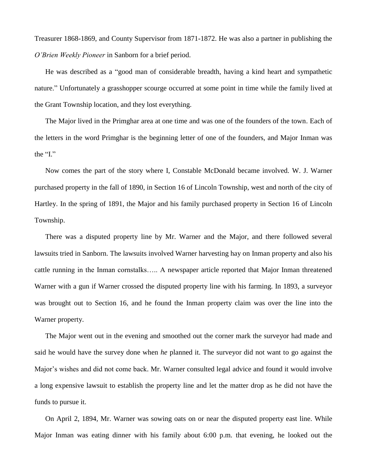Treasurer 1868-1869, and County Supervisor from 1871-1872. He was also a partner in publishing the *O'Brien Weekly Pioneer* in Sanborn for a brief period.

He was described as a "good man of considerable breadth, having a kind heart and sympathetic nature." Unfortunately a grasshopper scourge occurred at some point in time while the family lived at the Grant Township location, and they lost everything.

The Major lived in the Primghar area at one time and was one of the founders of the town. Each of the letters in the word Primghar is the beginning letter of one of the founders, and Major Inman was the "I."

Now comes the part of the story where I, Constable McDonald became involved. W. J. Warner purchased property in the fall of 1890, in Section 16 of Lincoln Township, west and north of the city of Hartley. In the spring of 1891, the Major and his family purchased property in Section 16 of Lincoln Township.

There was a disputed property line by Mr. Warner and the Major, and there followed several lawsuits tried in Sanborn. The lawsuits involved Warner harvesting hay on Inman property and also his cattle running in the Inman cornstalks….. A newspaper article reported that Major Inman threatened Warner with a gun if Warner crossed the disputed property line with his farming. In 1893, a surveyor was brought out to Section 16, and he found the Inman property claim was over the line into the Warner property.

The Major went out in the evening and smoothed out the corner mark the surveyor had made and said he would have the survey done when *he* planned it. The surveyor did not want to go against the Major's wishes and did not come back. Mr. Warner consulted legal advice and found it would involve a long expensive lawsuit to establish the property line and let the matter drop as he did not have the funds to pursue it.

On April 2, 1894, Mr. Warner was sowing oats on or near the disputed property east line. While Major Inman was eating dinner with his family about 6:00 p.m. that evening, he looked out the